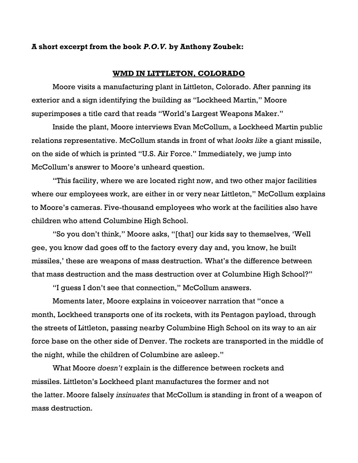## **A short excerpt from the book** *P.O.V.* **by Anthony Zoubek:**

## **WMD IN LITTLETON, COLORADO**

Moore visits a manufacturing plant in Littleton, Colorado. After panning its exterior and a sign identifying the building as "Lockheed Martin," Moore superimposes a title card that reads "World's Largest Weapons Maker."

Inside the plant, Moore interviews Evan McCollum, a Lockheed Martin public relations representative. McCollum stands in front of what *looks like* a giant missile, on the side of which is printed "U.S. Air Force." Immediately, we jump into McCollum's answer to Moore's unheard question.

"This facility, where we are located right now, and two other major facilities where our employees work, are either in or very near Littleton," McCollum explains to Moore's cameras. Five-thousand employees who work at the facilities also have children who attend Columbine High School.

"So you don't think," Moore asks, "[that] our kids say to themselves, 'Well gee, you know dad goes off to the factory every day and, you know, he built missiles,' these are weapons of mass destruction. What's the difference between that mass destruction and the mass destruction over at Columbine High School?"

"I guess I don't see that connection," McCollum answers.

Moments later, Moore explains in voiceover narration that "once a month, Lockheed transports one of its rockets, with its Pentagon payload, through the streets of Littleton, passing nearby Columbine High School on its way to an air force base on the other side of Denver. The rockets are transported in the middle of the night, while the children of Columbine are asleep."

What Moore *doesn't* explain is the difference between rockets and missiles. Littleton's Lockheed plant manufactures the former and not the latter. Moore falsely *insinuates* that McCollum is standing in front of a weapon of mass destruction.